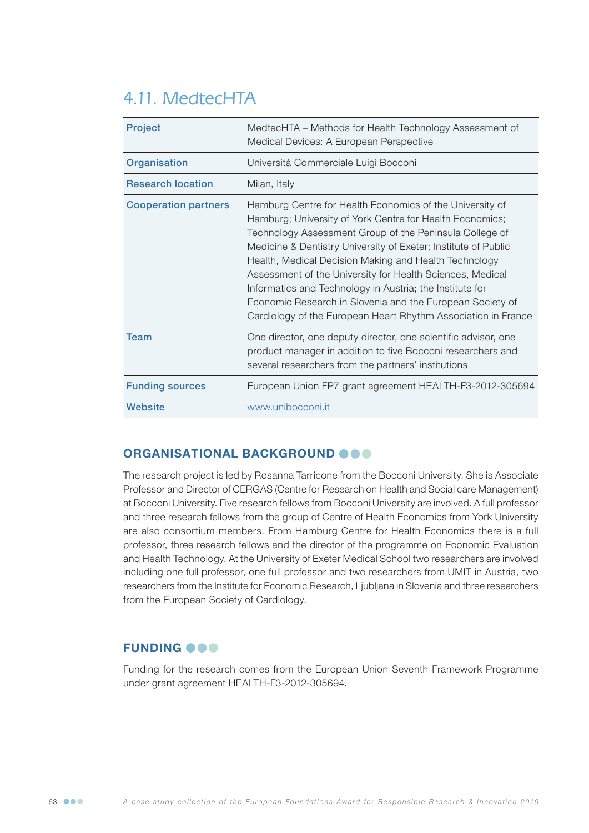# 4.11. MedtecHTA

| <b>Project</b>              | MedtecHTA – Methods for Health Technology Assessment of<br>Medical Devices: A European Perspective                                                                                                                                                                                                                                                                                                                                                                                                                                                                |
|-----------------------------|-------------------------------------------------------------------------------------------------------------------------------------------------------------------------------------------------------------------------------------------------------------------------------------------------------------------------------------------------------------------------------------------------------------------------------------------------------------------------------------------------------------------------------------------------------------------|
| Organisation                | Università Commerciale Luigi Bocconi                                                                                                                                                                                                                                                                                                                                                                                                                                                                                                                              |
| <b>Research location</b>    | Milan, Italy                                                                                                                                                                                                                                                                                                                                                                                                                                                                                                                                                      |
| <b>Cooperation partners</b> | Hamburg Centre for Health Economics of the University of<br>Hamburg; University of York Centre for Health Economics;<br>Technology Assessment Group of the Peninsula College of<br>Medicine & Dentistry University of Exeter; Institute of Public<br>Health, Medical Decision Making and Health Technology<br>Assessment of the University for Health Sciences, Medical<br>Informatics and Technology in Austria; the Institute for<br>Economic Research in Slovenia and the European Society of<br>Cardiology of the European Heart Rhythm Association in France |
| Team                        | One director, one deputy director, one scientific advisor, one<br>product manager in addition to five Bocconi researchers and<br>several researchers from the partners' institutions                                                                                                                                                                                                                                                                                                                                                                              |
| <b>Funding sources</b>      | European Union FP7 grant agreement HEALTH-F3-2012-305694                                                                                                                                                                                                                                                                                                                                                                                                                                                                                                          |
| Website                     | www.unibocconi.it                                                                                                                                                                                                                                                                                                                                                                                                                                                                                                                                                 |

## ORGANISATIONAL BACKGROUND OOO

The research project is led by Rosanna Tarricone from the Bocconi University. She is Associate Professor and Director of CERGAS (Centre for Research on Health and Social care Management) at Bocconi University. Five research fellows from Bocconi University are involved. A full professor and three research fellows from the group of Centre of Health Economics from York University are also consortium members. From Hamburg Centre for Health Economics there is a full professor, three research fellows and the director of the programme on Economic Evaluation and Health Technology. At the University of Exeter Medical School two researchers are involved including one full professor, one full professor and two researchers from UMIT in Austria, two researchers from the Institute for Economic Research, Ljubljana in Slovenia and three researchers from the European Society of Cardiology.

#### **FUNDING @@@**

Funding for the research comes from the European Union Seventh Framework Programme under grant agreement HEALTH-F3-2012-305694.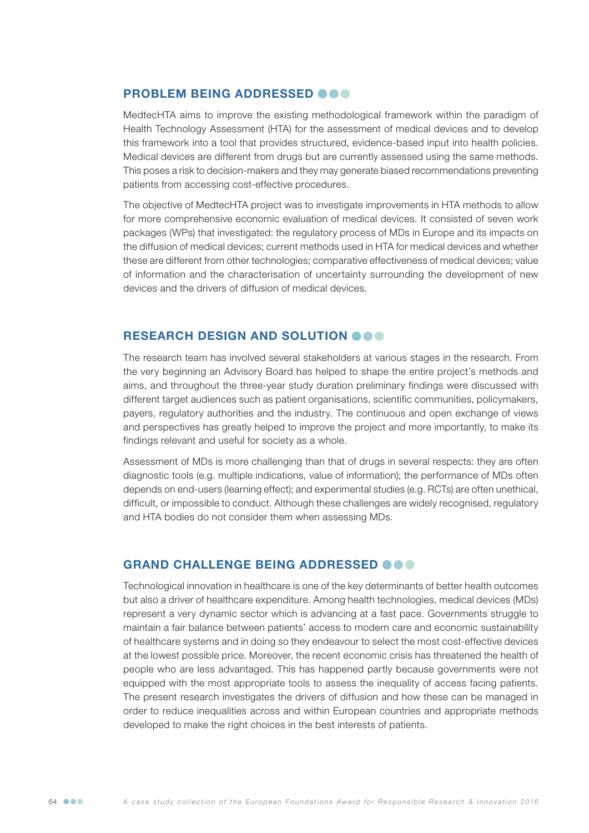### PROBLEM BEING ADDRESSED @@@

MedtecHTA aims to improve the existing methodological framework within the paradigm of Health Technology Assessment (HTA) for the assessment of medical devices and to develop this framework into a tool that provides structured, evidence-based input into health policies. Medical devices are different from drugs but are currently assessed using the same methods. This poses a risk to decision-makers and they may generate biased recommendations preventing patients from accessing cost-effective procedures.

The objective of MedtecHTA project was to investigate improvements in HTA methods to allow for more comprehensive economic evaluation of medical devices. It consisted of seven work packages (WPs) that investigated: the regulatory process of MDs in Europe and its impacts on the diffusion of medical devices; current methods used in HTA for medical devices and whether these are different from other technologies; comparative effectiveness of medical devices; value of information and the characterisation of uncertainty surrounding the development of new devices and the drivers of diffusion of medical devices.

#### RESEARCH DESIGN AND SOLUTION OOO

The research team has involved several stakeholders at various stages in the research. From the very beginning an Advisory Board has helped to shape the entire project's methods and aims, and throughout the three-year study duration preliminary findings were discussed with different target audiences such as patient organisations, scientific communities, policymakers, payers, regulatory authorities and the industry. The continuous and open exchange of views and perspectives has greatly helped to improve the project and more importantly, to make its findings relevant and useful for society as a whole.

Assessment of MDs is more challenging than that of drugs in several respects: they are often diagnostic tools (e.g. multiple indications, value of information); the performance of MDs often depends on end-users (learning effect); and experimental studies (e.g. RCTs) are often unethical, difficult, or impossible to conduct. Although these challenges are widely recognised, regulatory and HTA bodies do not consider them when assessing MDs.

#### GRAND CHALLENGE BEING ADDRESSED @@@

Technological innovation in healthcare is one of the key determinants of better health outcomes but also a driver of healthcare expenditure. Among health technologies, medical devices (MDs) represent a very dynamic sector which is advancing at a fast pace. Governments struggle to maintain a fair balance between patients' access to modern care and economic sustainability of healthcare systems and in doing so they endeavour to select the most cost-effective devices at the lowest possible price. Moreover, the recent economic crisis has threatened the health of people who are less advantaged. This has happened partly because governments were not equipped with the most appropriate tools to assess the inequality of access facing patients. The present research investigates the drivers of diffusion and how these can be managed in order to reduce inequalities across and within European countries and appropriate methods developed to make the right choices in the best interests of patients.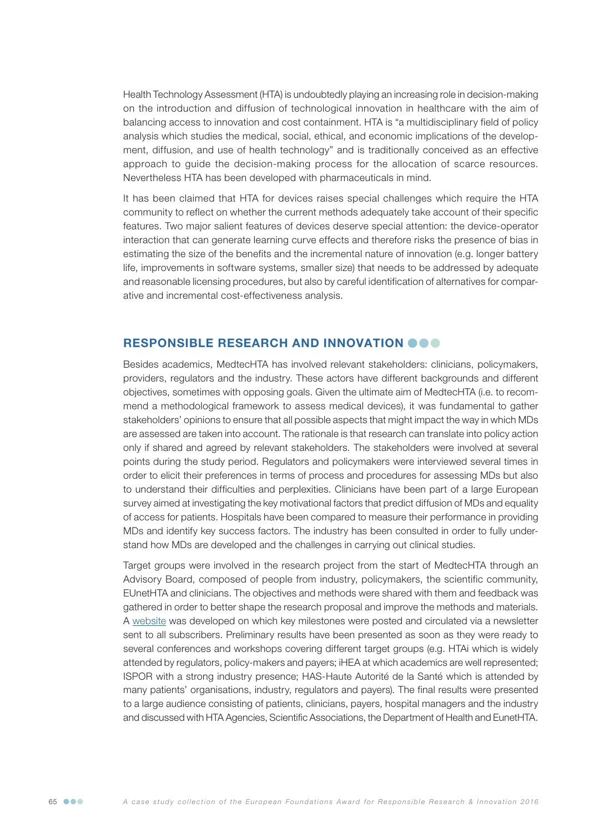Health Technology Assessment (HTA) is undoubtedly playing an increasing role in decision-making on the introduction and diffusion of technological innovation in healthcare with the aim of balancing access to innovation and cost containment. HTA is "a multidisciplinary field of policy analysis which studies the medical, social, ethical, and economic implications of the development, diffusion, and use of health technology" and is traditionally conceived as an effective approach to guide the decision-making process for the allocation of scarce resources. Nevertheless HTA has been developed with pharmaceuticals in mind.

It has been claimed that HTA for devices raises special challenges which require the HTA community to reflect on whether the current methods adequately take account of their specific features. Two major salient features of devices deserve special attention: the device-operator interaction that can generate learning curve effects and therefore risks the presence of bias in estimating the size of the benefits and the incremental nature of innovation (e.g. longer battery life, improvements in software systems, smaller size) that needs to be addressed by adequate and reasonable licensing procedures, but also by careful identification of alternatives for comparative and incremental cost-effectiveness analysis.

#### RESPONSIBLE RESEARCH AND INNOVATION OOO

Besides academics, MedtecHTA has involved relevant stakeholders: clinicians, policymakers, providers, regulators and the industry. These actors have different backgrounds and different objectives, sometimes with opposing goals. Given the ultimate aim of MedtecHTA (i.e. to recommend a methodological framework to assess medical devices), it was fundamental to gather stakeholders' opinions to ensure that all possible aspects that might impact the way in which MDs are assessed are taken into account. The rationale is that research can translate into policy action only if shared and agreed by relevant stakeholders. The stakeholders were involved at several points during the study period. Regulators and policymakers were interviewed several times in order to elicit their preferences in terms of process and procedures for assessing MDs but also to understand their difficulties and perplexities. Clinicians have been part of a large European survey aimed at investigating the key motivational factors that predict diffusion of MDs and equality of access for patients. Hospitals have been compared to measure their performance in providing MDs and identify key success factors. The industry has been consulted in order to fully understand how MDs are developed and the challenges in carrying out clinical studies.

Target groups were involved in the research project from the start of MedtecHTA through an Advisory Board, composed of people from industry, policymakers, the scientific community, EUnetHTA and clinicians. The objectives and methods were shared with them and feedback was gathered in order to better shape the research proposal and improve the methods and materials. A [website](http://www.medtechta.eu) was developed on which key milestones were posted and circulated via a newsletter sent to all subscribers. Preliminary results have been presented as soon as they were ready to several conferences and workshops covering different target groups (e.g. HTAi which is widely attended by regulators, policy-makers and payers; iHEA at which academics are well represented; ISPOR with a strong industry presence; HAS-Haute Autorité de la Santé which is attended by many patients' organisations, industry, regulators and payers). The final results were presented to a large audience consisting of patients, clinicians, payers, hospital managers and the industry and discussed with HTA Agencies, Scientific Associations, the Department of Health and EunetHTA.